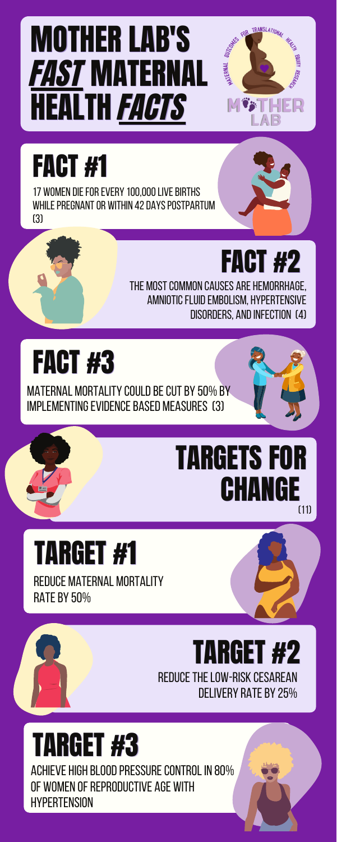### MOTHER LAB'S FAST MATERNAL HEALTH *FACTS*

#### **FACT #1**

17 WOMEN DIE FOR EVERY 100,000 LIVE BIRTHS WHILE PREGNANT OR WITHIN 42 DAYS POSTPARTUM (3)

### **FACT #2**

TRANSLATIONAL

WATERNAL OUTCOMES

THE MOST COMMON CAUSES ARE HEMORRHAGE, AMNIOTIC FLUID EMBOLISM, HYPERTENSIVE DISORDERS, AND INFECTION (4)

#### **FACT #3**

MATERNAL MORTALITY COULD BE CUT BY 50% BY IMPLEMENTING EVIDENCE BASED MEASURES (3)

#### REDUCE THE LOW-RISK CESAREAN DELIVERY RATE BY 25% TARGET #2

#### Reduce maternal mortality **RATE BY 50%** TARGET #1

#### TARGETS FOR CHANGE (11)



#### TARGET #3

ACHIEVE HIGH BLOOD PRESSURE CONTROL IN 80% OF WOMEN OF REPRODUCTIVE AGE WITH **HYPERTENSION**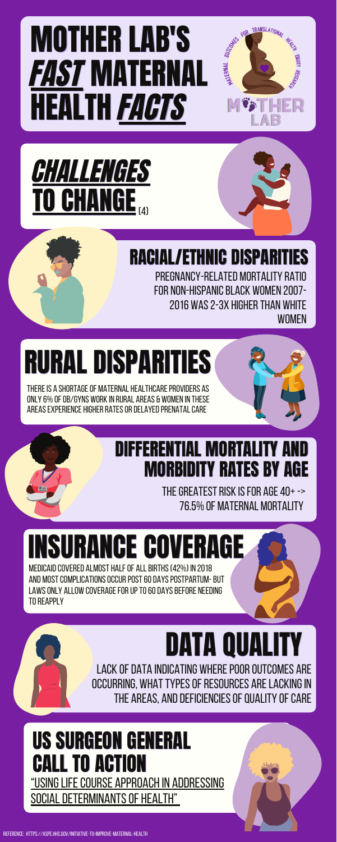Medicaidcovered almost halfof allbirths(42%) in 2018 and mostcomplicationsoccurpost60dayspostpartum-but LAWS ONLY ALLOW COVERAGE FOR UP TO 60 DAYS BEFORE NEEDING TO REAPPLY

### MOTHER LAB'S FAST MATERNAL HEALTH FACTS

#### "USING LIFE COURSE APPROACH IN ADDRESSING SOCIAL DETERMINANTS OF HEALTH" US SURGEON GENERAL CALL TO ACTION

#### RACIAL/ETHNIC DISPARITIES

PREGNANCY-RELATED MORTALITY RATIO FOR NON-HISPANIC BLACK WOMEN 2007-2016 WAS 2-3X HIGHER THAN WHITE **WOMEN** 

### RURAL DISPARITIES

THERE IS A SHORTAGE OF MATERNAL HEALTHCARE PROVIDERS AS ONLY 6% OF OB/GYNS WORK IN RURAL AREAS & WOMEN IN THESE areas experience higher rates or delayed prenatal care



THE GREATEST RISK IS FOR AGE  $40+->$ 76.5% of maternal mortality

TRANSLATIONAL



WATERNAL OUTCOMES

INSURANCE COVERAGE



### DATA QUALITY

LACK OF DATA INDICATING WHERE POOR OUTCOMES ARE **OCCURRING, WHAT TYPES OF RESOURCES ARE LACKING IN** THE AREAS, AND DEFICIENCIES OF QUALITY OF CARE

#### DIFFERENTIAL MORTALITY AND MORBIDITY RATES BY AGE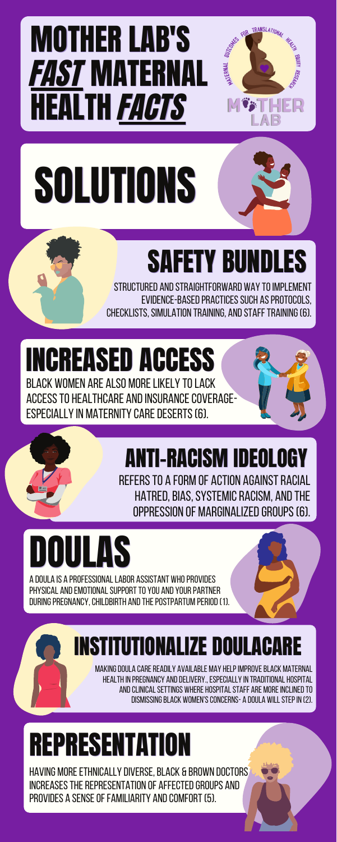### MOTHER LAB'S FAST MATERNAL HEALTH *FACTS*

SOLUTIONS

## SAFETY BUNDLES

TRANSLATIONAL

WATERNAL OUTCOMES

STRUCTURED AND STRAIGHTFORWARD WAY TO IMPLEMENT **EVIDENCE-BASED PRACTICES SUCH AS PROTOCOLS.** CHECKLISTS, SIMULATION TRAINING, AND STAFF TRAINING (6).

### INCREASED ACCESS

Black women are also morelikely tolack ACCESS TO HEALTHCARE AND INSURANCE COVERAGE-ESPECIALLY IN MATERNITY CARE DESERTS (6).

DOULAS

A DOULA IS A PROFESSIONAL LABOR ASSISTANT WHO PROVIDES PHYSICAL AND EMOTIONAL SUPPORT TO YOU AND YOUR PARTNER DURING PREGNANCY, CHILDBIRTH AND THE POSTPARTUM PERIOD (1).

#### oppression of marginalizedgroups(6).

MAKING DOULA CARE READILY AVAILABLE MAY HELP IMPROVE BLACK MATERNAL health in pregnancy anddelivery.,especially in traditional hospital and clinical settings where hospital staff are more inclined to dismissingblack women'sconcerns- a doula willstepin (2).

#### ANTI-RACISM IDEOLOGY

RFFERS TO A FORM OF ACTION AGAINST RACIAL HATRED, BIAS, SYSTEMIC RACISM, AND THE



#### REPRESENTATION

HAVING MORE ETHNICALLY DIVERSE, BLACK & BROWN DOCTORS INCREASES THE REPRESENTATION OF AFFECTED GROUPS AND PROVIDES A SENSE OF FAMILIARITY AND COMFORT (5).

#### INSTITUTIONALIZE DOULACARE